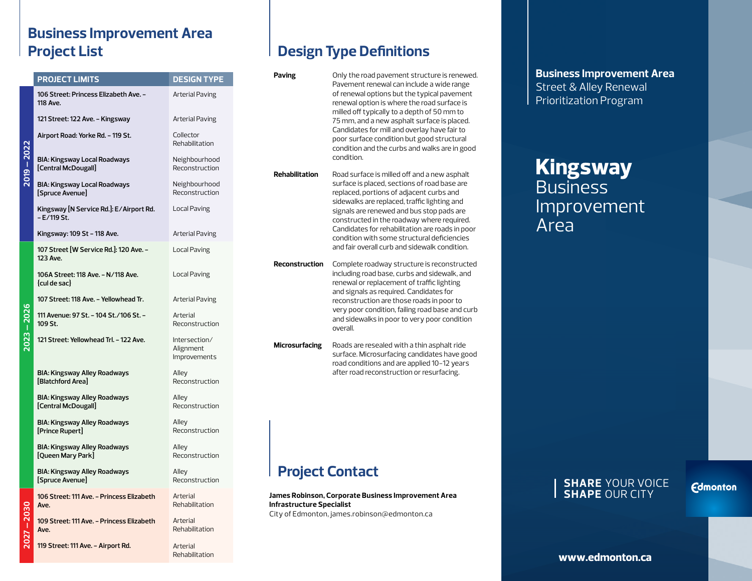### **Business Improvement Area Project List**

|  | <b>PROJECT LIMITS</b>                                          | <b>DESIGN TYPE</b>                         |
|--|----------------------------------------------------------------|--------------------------------------------|
|  | 106 Street: Princess Elizabeth Ave. –<br>118 Ave.              | Arterial Paving                            |
|  | 121 Street: 122 Ave. - Kingsway                                | Arterial Paving                            |
|  | Airport Road: Yorke Rd. – 119 St.                              | Collector<br>Rehabilitation                |
|  | <b>BIA: Kingsway Local Roadways</b><br>[Central McDougall]     | Neighbourhood<br>Reconstruction            |
|  | <b>BIA: Kingsway Local Roadways</b><br>[Spruce Avenue]         | Neighbourhood<br>Reconstruction            |
|  | Kingsway [N Service Rd.]: E/Airport Rd.<br>– E/119 St.         | Local Paving                               |
|  | Kingsway: 109 St - 118 Ave.                                    | Arterial Paving                            |
|  | 107 Street [W Service Rd.]: 120 Ave. -<br>123 Ave.             | Local Paving                               |
|  | 106A Street: 118 Ave. - N/118 Ave.<br>{cul de sac}             | Local Paving                               |
|  | 107 Street: 118 Ave. - Yellowhead Tr.                          | Arterial Paving                            |
|  | 111 Avenue: 97 St. - 104 St./106 St. -<br>109 St.              | Arterial<br>Reconstruction                 |
|  | 121 Street: Yellowhead Trl. - 122 Ave.                         | Intersection/<br>Alignment<br>Improvements |
|  | <b>BIA: Kingsway Alley Roadways</b><br><b>Blatchford Areal</b> | Alley<br>Reconstruction                    |
|  | BIA: Kingsway Alley Roadways<br>[Central McDougall]            | Alley<br>Reconstruction                    |
|  | BIA: Kingsway Alley Roadways<br>[Prince Rupert]                | Alley<br>Reconstruction                    |
|  | <b>BIA: Kingsway Alley Roadways</b><br>[Queen Mary Park]       | Alley<br>Reconstruction                    |
|  | <b>BIA: Kingsway Alley Roadways</b><br>[Spruce Avenue]         | Alley<br>Reconstruction                    |
|  | 106 Street: 111 Ave. - Princess Elizabeth<br>Ave.              | Arterial<br>Rehabilitation                 |
|  | 109 Street: 111 Ave. - Princess Elizabeth<br>Ave.              | Arterial<br>Rehabilitation                 |
|  | 119 Street: 111 Ave. - Airport Rd.                             | Arterial                                   |

Rehabilitation

## **Design Type Definitions**

| Paving                                                                                                                                  | Only the road pavement structure is renewed.<br>Pavement renewal can include a wide range<br>of renewal options but the typical pavement<br>renewal option is where the road surface is<br>milled off typically to a depth of 50 mm to<br>75 mm, and a new asphalt surface is placed.<br>Candidates for mill and overlay have fair to<br>poor surface condition but good structural<br>condition and the curbs and walks are in good<br>condition. |  |  |
|-----------------------------------------------------------------------------------------------------------------------------------------|----------------------------------------------------------------------------------------------------------------------------------------------------------------------------------------------------------------------------------------------------------------------------------------------------------------------------------------------------------------------------------------------------------------------------------------------------|--|--|
| Rehabilitation                                                                                                                          | Road surface is milled off and a new asphalt<br>surface is placed, sections of road base are<br>replaced, portions of adjacent curbs and<br>sidewalks are replaced, traffic lighting and<br>signals are renewed and bus stop pads are<br>constructed in the roadway where required.<br>Candidates for rehabilitation are roads in poor<br>condition with some structural deficiencies<br>and fair overall curb and sidewalk condition.             |  |  |
| Reconstruction                                                                                                                          | Complete roadway structure is reconstructed<br>including road base, curbs and sidewalk, and<br>renewal or replacement of traffic lighting<br>and signals as required. Candidates for<br>reconstruction are those roads in poor to<br>very poor condition, failing road base and curb<br>and sidewalks in poor to very poor condition<br>overall.                                                                                                   |  |  |
| <b>Microsurfacing</b>                                                                                                                   | Roads are resealed with a thin asphalt ride<br>surface. Microsurfacing candidates have good<br>road conditions and are applied 10-12 years<br>after road reconstruction or resurfacing.                                                                                                                                                                                                                                                            |  |  |
| <b>Project Contact</b>                                                                                                                  |                                                                                                                                                                                                                                                                                                                                                                                                                                                    |  |  |
| James Robinson, Corporate Business Improvement Area<br><b>Infrastructure Specialist</b><br>City of Edmonton, james.robinson@edmonton.ca |                                                                                                                                                                                                                                                                                                                                                                                                                                                    |  |  |
|                                                                                                                                         |                                                                                                                                                                                                                                                                                                                                                                                                                                                    |  |  |

**Business Improvement Area** Street & Alley Renewal Prioritization Program

# **Kingsway** Business Improvement Area

#### **SHARE** YOUR VOICE **SHAPE** OUR CITY

**Edmonton** 

**2027 – 2030**  $\overline{\mathbf{N}}$